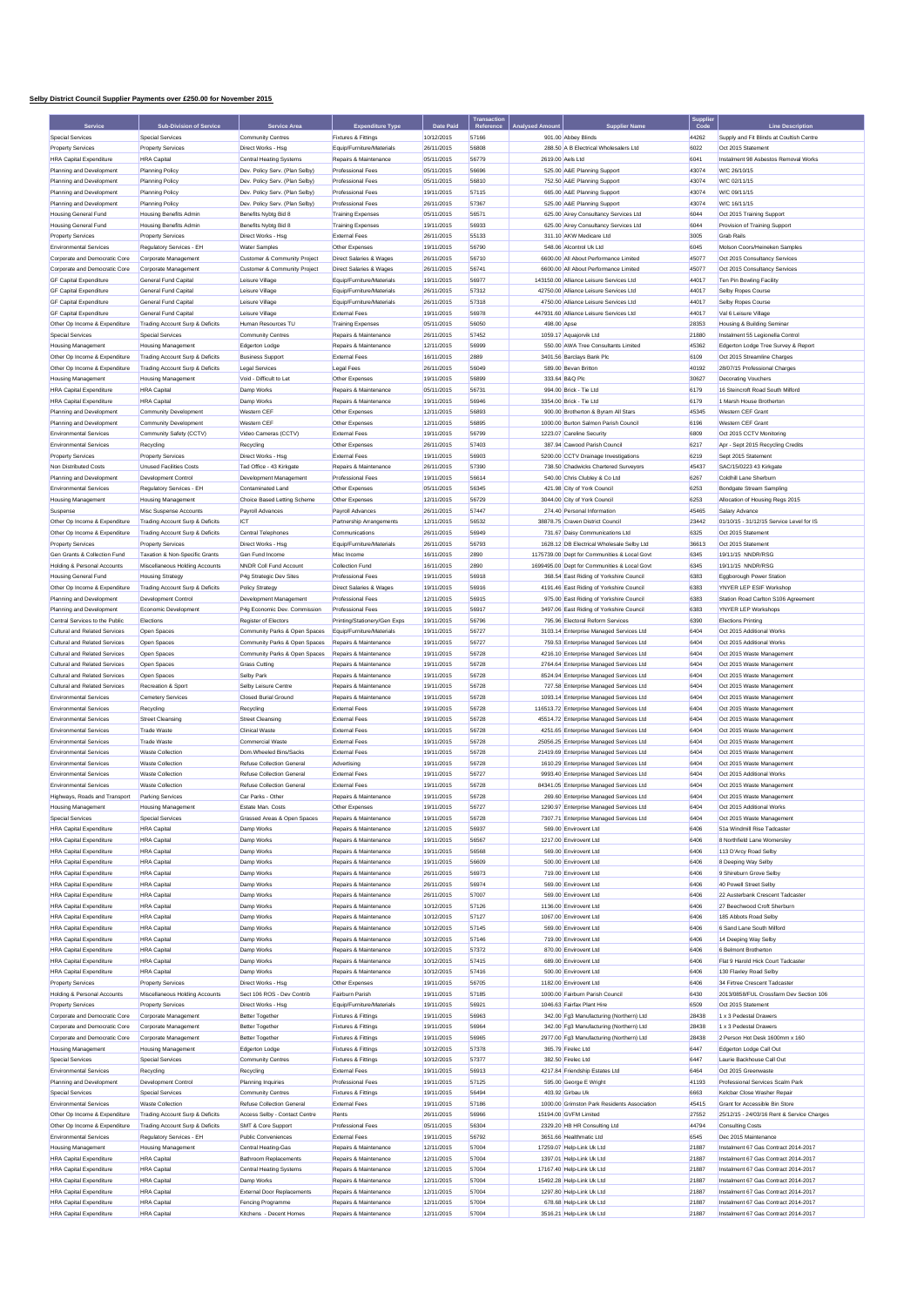## **Selby District Council Supplier Payments over £250.00 for November 2015**

|                                                                |                                                            |                                                                  |                                               |                          | <b>Fransaction</b> |                  |                                                                                     | Supplie<br>Code |                                                            |
|----------------------------------------------------------------|------------------------------------------------------------|------------------------------------------------------------------|-----------------------------------------------|--------------------------|--------------------|------------------|-------------------------------------------------------------------------------------|-----------------|------------------------------------------------------------|
|                                                                | <b>Sub-Division of Service</b>                             | <b>Service Area</b>                                              | <b>Expenditure Type</b>                       | Date Pair                |                    |                  | <b>Supplier Name</b>                                                                |                 | <b>Line Description</b>                                    |
| <b>Special Services</b>                                        | Special Services                                           | <b>Community Centres</b>                                         | Fixtures & Fittings                           | 10/12/2015               | 57166<br>56808     |                  | 901.00 Abbey Blinds                                                                 | 44262           | Supply and Fit Blinds at Coultish Centre                   |
| <b>Property Services</b>                                       | <b>Property Services</b><br><b>HRA</b> Canital             | Direct Works - Hsg                                               | Equip/Furniture/Materials                     | 26/11/2015               |                    |                  | 288.50 A B Electrical Wholesalers Ltd                                               | 6022            | Oct 2015 Statement<br>Instalment 98 Asbestos Removal Works |
| <b>HRA Capital Expenditure</b>                                 |                                                            | <b>Central Heating Systems</b>                                   | Repairs & Maintenance                         | 05/11/2015               | 56779              | 2619.00 Aels Ltd |                                                                                     | 6041            |                                                            |
| Planning and Development                                       | Planning Policy                                            | Dev. Policy Serv. (Plan Selby)                                   | <b>Professional Fees</b>                      | 05/11/2015               | 56696              |                  | 525.00 A&E Planning Support                                                         | 43074           | W/C 26/10/15                                               |
| Planning and Development<br>Planning and Development           | <b>Planning Policy</b><br>Planning Policy                  | Dev. Policy Serv. (Plan Selby)<br>Dev. Policy Serv. (Plan Selby) | Professional Fees<br><b>Professional Fees</b> | 05/11/2015<br>19/11/2015 | 56810<br>57115     |                  | 752.50 A&E Planning Support<br>665.00 A&E Planning Support                          | 43074<br>43074  | W/C 02/11/15<br>W/C 09/11/15                               |
| Planning and Development                                       | <b>Planning Policy</b>                                     | Dev. Policy Serv. (Plan Selby)                                   | Professional Fees                             | 26/11/2015               | 57367              |                  | 525.00 A&E Planning Support                                                         | 43074           | W/C 16/11/15                                               |
| Housing General Fund                                           | <b>Housing Benefits Admin</b>                              | Benefits Nybtg Bid 8                                             | <b>Training Expenses</b>                      | 05/11/2015               | 56571              |                  | 625.00 Airey Consultancy Services Ltd                                               | 6044            | Oct 2015 Training Support                                  |
| <b>Housing General Fund</b>                                    | <b>Housing Benefits Admin</b>                              | Benefits Nybtg Bid 8                                             | <b>Training Expenses</b>                      | 19/11/2015               | 56933              |                  | 625.00 Airey Consultancy Services Ltd                                               | 6044            | Provision of Training Support                              |
| <b>Property Services</b>                                       | <b>Property Services</b>                                   | Direct Works - Hsg                                               | External Fees                                 | 26/11/2015               | 55133              |                  | 311.10 AKW Medicare Ltd                                                             | 3005            | <b>Grab Rails</b>                                          |
| <b>Environmental Services</b>                                  | Regulatory Services - EH                                   | <b>Water Samples</b>                                             | Other Expenses                                | 19/11/2015               | 56790              |                  | 548.06 Alcontrol Uk Ltd                                                             | 6045            | Molson Coors/Heineken Samples                              |
| Corporate and Democratic Core                                  | Corporate Management                                       | Customer & Community Project                                     | Direct Salaries & Wages                       | 26/11/2015               | 56710              |                  | 6600.00 All About Performance Limited                                               | 45077           | Oct 2015 Consultancy Services                              |
| Corporate and Democratic Core                                  | Corporate Management                                       | Customer & Community Project                                     | Direct Salaries & Wages                       | 26/11/2015               | 56741              |                  | 6600.00 All About Performance Limited                                               | 45077           | Oct 2015 Consultancy Services                              |
| <b>GF Capital Expenditure</b>                                  | General Fund Capital                                       | Leisure Village                                                  | Equip/Furniture/Materials                     | 19/11/2015               | 56977              |                  | 143150.00 Alliance Leisure Services Ltd                                             | 44017           | Ten Pin Rowling Facility                                   |
| <b>GF Capital Expenditure</b>                                  | General Fund Capital                                       | Leisure Village                                                  | Equip/Furniture/Materials                     | 26/11/2015               | 57312              |                  | 42750.00 Alliance Leisure Services Ltd                                              | 44017           | Selby Ropes Course                                         |
| <b>GF Capital Expenditure</b>                                  | General Fund Capital                                       | Leisure Village                                                  | Equip/Furniture/Materials                     | 26/11/2015               | 57318              |                  | 4750.00 Alliance Leisure Services Ltd.                                              | 44017           | Selby Ropes Course                                         |
| <b>GF Capital Expenditure</b>                                  | General Fund Capital                                       | Leisure Village                                                  | External Fees                                 | 19/11/2015               | 56978              |                  | 447931.60 Alliance Leisure Services Ltd                                             | 44017           | Val 6 Leisure Village                                      |
| Other Op Income & Expenditure                                  | Trading Account Surp & Deficits                            | Human Resources TU                                               | <b>Training Expenses</b>                      | 05/11/2015               | 56050              | 498.00 Apse      |                                                                                     | 28353           | Housing & Building Seminar                                 |
| <b>Special Services</b>                                        | <b>Special Services</b>                                    | Community Centres                                                | Repairs & Maintenance                         | 26/11/2015               | 57452              |                  | 1059.17 Aquajorvik Ltd                                                              | 21880           | Instalment 55 Legionella Control                           |
| <b>Housing Management</b>                                      | <b>Housing Management</b>                                  | Edgerton Lodge                                                   | Repairs & Maintenance                         | 12/11/2015               | 56999              |                  | 550.00 AWA Tree Consultants Limited                                                 | 45362           | Edgerton Lodge Tree Survey & Report                        |
| Other Op Income & Expenditure                                  | Trading Account Surp & Deficits                            | <b>Business Support</b>                                          | External Fees                                 | 16/11/2015               | 2889               |                  | 3401.56 Barclays Bank Plc                                                           | 6109            | Oct 2015 Streamline Charges                                |
| Other Op Income & Expenditure                                  | Trading Account Surp & Deficits                            | <b>Legal Services</b>                                            | Legal Fees                                    | 26/11/2015               | 56049              |                  | 589.00 Bevan Britton                                                                | 40192           | 28/07/15 Professional Charges                              |
| <b>Housing Management</b>                                      | <b>Housing Management</b>                                  | Void - Difficult to Let                                          | Other Expenses                                | 19/11/2015               | 56899              | 333.64 B&Q Plc   |                                                                                     | 30627           | <b>Decorating Vouchers</b>                                 |
| <b>HRA Capital Expenditure</b>                                 | <b>HRA</b> Capital                                         | Damp Works                                                       | Repairs & Maintenance                         | 05/11/2015               | 56731              |                  | 994.00 Brick - Tie Ltd                                                              | 6179            | 16 Steincroft Road South Milford                           |
| <b>HRA Capital Expenditure</b>                                 | <b>HRA</b> Capital                                         | Damp Works                                                       | Repairs & Maintenance                         | 19/11/2015               | 56946              |                  | 3354.00 Brick - Tie Ltd                                                             | 6179            | 1 Marsh House Brotherton                                   |
| Planning and Development                                       | Community Development                                      | Western CEF                                                      | Other Expenses                                | 12/11/2015               | 56893<br>56895     |                  | 900.00 Brotherton & Byram All Stars                                                 | 45345           | Western CEF Grant                                          |
| Planning and Development<br><b>Environmental Services</b>      | <b>Community Development</b><br>Community Safety (CCTV)    | Western CEF<br>Video Cameras (CCTV)                              | Other Expenses<br>External Fees               | 12/11/2015<br>19/11/2015 | 56799              |                  | 1000.00 Burton Salmon Parish Council<br>1223.07 Careline Security                   | 6196<br>6809    | Western CEF Grant<br>Oct 2015 CCTV Monitoring              |
| <b>Environmental Servicer</b>                                  |                                                            |                                                                  | Other Expenses                                | 26/11/2015               | 57403              |                  | 387.94 Cawood Parish Council                                                        | 6217            |                                                            |
| <b>Property Services</b>                                       | Recycling<br><b>Property Services</b>                      | Recycling<br>Direct Works - Hsg                                  | <b>External Fees</b>                          | 19/11/2015               | 56903              |                  | 5200.00 CCTV Drainage Investigations                                                | 6219            | Apr - Sept 2015 Recycling Credits<br>Sept 2015 Statement   |
| Non Distributed Costs                                          | <b>Unused Facilities Costs</b>                             | Tad Office - 43 Kirkgate                                         | Repairs & Maintenance                         | 26/11/2015               | 57390              |                  | 738.50 Chadwicks Chartered Surveyors                                                | 45437           | SAC/15/0223 43 Kirkgate                                    |
| Planning and Development                                       | Development Control                                        | Development Management                                           | <b>Professional Fees</b>                      | 19/11/2015               | 56614              |                  | 540.00 Chris Clubley & Co Ltd                                                       | 6267            | Coldhill Lane Sherburn                                     |
| <b>Environmental Services</b>                                  | Regulatory Services - EH                                   | Contaminated Land                                                | Other Expenses                                | 05/11/2015               | 56345              |                  | 421.98 City of York Council                                                         | 6253            | <b>Bondgate Stream Sampling</b>                            |
| <b>Housing Management</b>                                      | <b>Housing Management</b>                                  | Choice Based Letting Scheme                                      | Other Expenses                                | 12/11/2015               | 56729              |                  | 3044.00 City of York Council                                                        | 6253            | Allocation of Housing Regs 2015                            |
| Suspense                                                       | Misc Suspense Accounts                                     | Pavroll Advances                                                 | Pavroll Advances                              | 26/11/2015               | 57447              |                  | 274.40 Personal Information                                                         | 45465           | Salary Advance                                             |
| Other Op Income & Expenditure                                  | Trading Account Surp & Deficits                            | ICT                                                              | Partnership Arrangements                      | 12/11/2015               | 56532              |                  | 38878.75 Craven District Council                                                    | 23442           | 01/10/15 - 31/12/15 Service Level for IS                   |
| Other Op Income & Expenditure                                  | Trading Account Surp & Deficits                            | Central Telephones                                               | Communications                                | 26/11/2015               | 56949              |                  | 731.67 Daisy Communications Ltd                                                     | 6325            | Oct 2015 Statement                                         |
| <b>Property Services</b>                                       | <b>Property Services</b>                                   | Direct Works - Hsg                                               | Equip/Furniture/Materials                     | 26/11/2015               | 56793              |                  | 1628.12 DB Electrical Wholesale Selby Ltd                                           | 36613           | Oct 2015 Statement                                         |
| Gen Grants & Collection Fund                                   | Taxation & Non-Specific Grants                             | Gen Fund Income                                                  | Misc Income                                   | 16/11/2015               | 2890               |                  | 1175739.00 Dept for Communities & Local Govt                                        | 6345            | 19/11/15 NNDR/RSG                                          |
| Holding & Personal Accounts                                    | Miscellaneous Holding Accounts                             | NNDR Coll Fund Account                                           | Collection Fund                               | 16/11/2015               | 2890               |                  | 1699495.00 Dept for Communities & Local Govt                                        | 6345            | 19/11/15 NNDR/RSG                                          |
| Housing General Fund                                           | <b>Housing Strategy</b>                                    | P4g Strategic Dev Sites                                          | Professional Fees                             | 19/11/2015               | 56918              |                  | 368.54 East Riding of Yorkshire Council                                             | 6383            | Eggborough Power Station                                   |
| Other Op Income & Expenditure                                  | Trading Account Surp & Deficits                            | Policy Strategy                                                  | Direct Salaries & Wages                       | 19/11/2015               | 56916              |                  | 4191.46 East Riding of Yorkshire Council                                            | 6383            | YNYER LEP ESIF Workshop                                    |
| Planning and Development                                       | <b>Development Control</b>                                 | Development Management                                           | <b>Professional Fees</b>                      | 12/11/2015               | 56915              |                  | 975.00 East Riding of Yorkshire Council                                             | 6383            | Station Road Carlton S106 Agreement                        |
| Planning and Development                                       | Economic Development                                       | P4g Economic Dev. Commission                                     | Professional Fees                             | 19/11/2015               | 56917              |                  | 3497.06 East Riding of Yorkshire Council                                            | 6383            | YNYER LEP Workshops                                        |
| Central Services to the Public                                 | Elections                                                  | Register of Electors                                             | Printing/Stationery/Gen Exps                  | 19/11/2015               | 56796              |                  | 795.96 Electoral Reform Services                                                    | 6390            | <b>Elections Printing</b>                                  |
| Cultural and Related Services                                  | Open Spaces                                                | Community Parks & Open Spaces                                    | Equip/Furniture/Materials                     | 19/11/2015               | 56727              |                  | 3103.14 Enterprise Managed Services Ltd                                             | 6404            | Oct 2015 Additional Works                                  |
| Cultural and Related Services                                  | Open Spaces                                                | Community Parks & Open Spaces                                    | Repairs & Maintenance                         | 19/11/2015               | 56727              |                  | 759.53 Enterprise Managed Services Ltd                                              | 6404            | Oct 2015 Additional Works                                  |
| Cultural and Related Services                                  | Open Spaces                                                | Community Parks & Open Spaces                                    | Repairs & Maintenance                         | 19/11/2015               | 56728              |                  | 4216.10 Enterprise Managed Services Ltd                                             | 6404            | Oct 2015 Waste Management                                  |
| Cultural and Related Services                                  | Open Spaces                                                | <b>Grass Cutting</b>                                             | Repairs & Maintenance                         | 19/11/2015               | 56728              |                  | 2764.64 Enterprise Managed Services Ltd                                             | 6404            | Oct 2015 Waste Management                                  |
| Cultural and Related Services                                  | Open Spaces                                                | Selby Park                                                       | Repairs & Maintenance                         | 19/11/2015               | 56728              |                  | 8524.94 Enterprise Managed Services Ltd                                             | 6404            | Oct 2015 Waste Management                                  |
| Cultural and Related Services                                  | Recreation & Sport                                         | Selby Leisure Centre                                             | Repairs & Maintenance                         | 19/11/2015               | 56728              |                  | 727.58 Enterprise Managed Services Ltd                                              | 6404            | Oct 2015 Waste Management                                  |
| <b>Environmental Services</b>                                  | Cemetery Services                                          | Closed Burial Ground                                             | Repairs & Maintenance                         | 19/11/2015               | 56728              |                  | 1093.14 Enterprise Managed Services Ltd                                             | 6404            | Oct 2015 Waste Management                                  |
| <b>Environmental Services</b>                                  | Recycling                                                  | Recycling                                                        | External Fees                                 | 19/11/2015               | 56728              |                  | 116513.72 Enterprise Managed Services Ltd                                           | 6404            | Oct 2015 Waste Management                                  |
| <b>Environmental Services</b>                                  | <b>Street Cleansing</b>                                    | <b>Street Cleansing</b>                                          | <b>External Fees</b>                          | 19/11/2015               | 56728              |                  | 45514.72 Enterprise Managed Services Ltd                                            | 6404            | Oct 2015 Waste Management                                  |
| <b>Environmental Services</b>                                  | <b>Trade Waste</b>                                         | <b>Clinical Waste</b>                                            | <b>External Fees</b>                          | 19/11/2015               | 56728              |                  | 4251.65 Enterprise Managed Services Ltd                                             | 6404            | Oct 2015 Waste Management                                  |
| <b>Environmental Services</b>                                  | Trade Waste<br>Waste Collection                            | Commercial Waste                                                 | <b>External Fees</b>                          | 19/11/2015               | 56728              |                  | 25056.25 Enterprise Managed Services Ltd                                            | 6404            | Oct 2015 Waste Management                                  |
| <b>Environmental Services</b><br><b>Environmental Services</b> | <b>Waste Collection</b>                                    | Dom.Wheeled Bins/Sacks<br><b>Refuse Collection General</b>       | <b>External Fees</b><br>Advertising           | 19/11/2015<br>19/11/2015 | 56728<br>56728     |                  | 21419.69 Enterprise Managed Services Ltd<br>1610.29 Enterprise Managed Services Ltd | 6404<br>6404    | Oct 2015 Waste Management<br>Oct 2015 Waste Management     |
| <b>Environmental Services</b>                                  | <b>Waste Collection</b>                                    | <b>Refuse Collection General</b>                                 | <b>External Fees</b>                          | 19/11/2015               | 56727              |                  | 9993.40 Enterprise Managed Services Ltd                                             | 6404            | Oct 2015 Additional Works                                  |
| <b>Environmental Services</b>                                  | <b>Waste Collection</b>                                    | <b>Refuse Collection General</b>                                 | <b>External Fees</b>                          | 19/11/2015               | 56728              |                  | 84341.05 Enterprise Managed Services Ltd                                            | 6404            | Oct 2015 Waste Management                                  |
| Highways, Roads and Transport                                  | <b>Parking Services</b>                                    | Car Parks - Other                                                | Repairs & Maintenance                         | 19/11/2015               | 56728              |                  | 269.60 Enterprise Managed Services Ltd                                              | 6404            | Oct 2015 Waste Management                                  |
|                                                                |                                                            |                                                                  |                                               |                          |                    |                  |                                                                                     |                 |                                                            |
| <b>Special Services</b>                                        | <b>Special Services</b>                                    | Grassed Areas & Open Spaces                                      | Repairs & Maintenance                         | 19/11/2015               | 56728              |                  | 7307.71 Enterprise Managed Services Ltd                                             | 6404            | Oct 2015 Waste Management                                  |
| <b>HRA Capital Expenditure</b>                                 | <b>HRA</b> Capital                                         | Damp Works                                                       | Repairs & Maintenance                         | 12/11/2015               | 56937              |                  | 569.00 Envirovent Ltd                                                               | 6406            | 51a Windmill Rise Tadcaster                                |
| <b>HRA Capital Expenditure</b>                                 | <b>HRA</b> Capital                                         | Damp Works                                                       | Repairs & Maintenance                         | 19/11/2015               | 56567              |                  | 1217.00 Envirovent Ltd                                                              | 6406            | 8 Northfield Lane Womersley                                |
| <b>HRA Capital Expenditure</b>                                 | <b>HRA</b> Capital                                         | Damp Works                                                       | Repairs & Maintenance                         | 19/11/2015               | 56568              |                  | 569.00 Envirovent Ltd                                                               | 6406            | 113 D'Arcy Road Selby                                      |
| <b>HRA Capital Expenditure</b>                                 | <b>HRA</b> Capital                                         | Damp Works                                                       | Repairs & Maintenance                         | 19/11/2015               | 56609              |                  | 500.00 Envirovent Ltd                                                               | 6406            | 8 Deeping Way Selby                                        |
| <b>HRA Capital Expenditure</b>                                 | <b>HRA</b> Capital                                         | Damp Works                                                       | Repairs & Maintenance                         | 26/11/2015               | 56973              |                  | 719.00 Envirovent Ltd                                                               | 6406            | 9 Shireburn Grove Selby                                    |
| <b>HRA Capital Expenditure</b>                                 | <b>HRA</b> Capital                                         | Damp Works                                                       | Repairs & Maintenance                         | 26/11/2015               | 56974              |                  | 569.00 Envirovent Ltd                                                               | 6406            | 40 Powell Street Selby                                     |
| <b>HRA Capital Expenditure</b>                                 | <b>HRA</b> Capital                                         | Damp Works                                                       | Repairs & Maintenance                         | 26/11/2015               | 57007              |                  | 569.00 Envirovent Ltd                                                               | 6406            | 22 Austerbank Crescent Tadcaster                           |
| <b>HRA Capital Expenditure</b>                                 | <b>HRA</b> Capital                                         | Damp Works                                                       | Repairs & Maintenance                         | 10/12/2015               | 57126              |                  | 1136.00 Envirovent Ltd                                                              | 6406            | 27 Beechwood Croft Sherburn                                |
| <b>HRA Capital Expenditure</b>                                 | <b>HRA</b> Capital                                         | Damp Works                                                       | Repairs & Maintenance                         | 10/12/2015               | 57127              |                  | 1067.00 Envirovent Ltd                                                              | 6406            | 185 Abbots Road Selby                                      |
| <b>HRA Capital Expenditure</b>                                 | <b>HRA</b> Capital                                         | Damp Works                                                       | Repairs & Maintenance                         | 10/12/2015               | 57145              |                  | 569.00 Envirovent Ltd                                                               | 6406            | 6 Sand Lane South Milford                                  |
| <b>HRA Capital Expenditure</b>                                 | <b>HRA</b> Capital                                         | Damp Works                                                       | Repairs & Maintenance                         | 10/12/2015               | 57146              |                  | 719.00 Envirovent Ltd                                                               | 6406            | 14 Deeping Way Selby                                       |
| <b>HRA Capital Expenditure</b>                                 | <b>HRA</b> Capital                                         | Damp Works                                                       | Repairs & Maintenance                         | 10/12/2015               | 57372              |                  | 870.00 Envirovent Ltd                                                               | 6406            | 6 Belmont Brotherton                                       |
| <b>HRA Capital Expenditure</b>                                 | <b>HRA</b> Capital                                         | Damp Works                                                       | Repairs & Maintenance                         | 10/12/2015               | 57415              |                  | 689.00 Envirovent Ltd                                                               | 6406            | Flat 9 Harold Hick Court Tadcaster                         |
| <b>HRA Capital Expenditure</b>                                 | <b>HRA</b> Capital                                         | Damp Works                                                       | Repairs & Maintenance                         | 10/12/2015               | 57416              |                  | 500.00 Envirovent Ltd                                                               | 6406            | 130 Flaxley Road Selby                                     |
| <b>Property Services</b>                                       | <b>Property Services</b><br>Miscellaneous Holding Accounts | Direct Works - Hsg                                               | Other Expenses                                | 19/11/2015               | 56705              |                  | 1182.00 Envirovent Ltd                                                              | 6406            | 34 Firtree Crescent Tadcaster                              |
| Holding & Personal Accounts                                    | <b>Property Services</b>                                   | Sect 106 ROS - Dev Contrib                                       | Fairburn Parish<br>Equip/Furniture/Materials  | 19/11/2015               | 57185              |                  | 1000.00 Fairburn Parish Council                                                     | 6430            | 2013/0858/FUL Crossfarm Dev Section 106                    |
| <b>Property Services</b><br>Corporate and Democratic Core      | Corporate Management                                       | Direct Works - Hsg<br><b>Better Together</b>                     | Fixtures & Fittings                           | 19/11/2015<br>19/11/2015 | 56921<br>56963     |                  | 1046.63 Fairfax Plant Hire<br>342.00 Fg3 Manufacturing (Northern) Ltd               | 6509<br>28438   | Oct 2015 Statement<br>1 x 3 Pedestal Drawers               |
| Corporate and Democratic Core                                  | Corporate Management                                       | <b>Better Together</b>                                           | Fixtures & Fittings                           | 19/11/2015               | 56964              |                  | 342.00 Fg3 Manufacturing (Northern) Ltd                                             | 28438           | 1 x 3 Pedestal Drawers                                     |
| Corporate and Democratic Core                                  | Corporate Management                                       | <b>Better Together</b>                                           | Fixtures & Fittings                           | 19/11/2015               | 56965              |                  | 2977.00 Fg3 Manufacturing (Northern) Ltd                                            | 28438           | 2 Person Hot Desk 1600mm x 160                             |
| <b>Housing Management</b>                                      | <b>Housing Management</b>                                  | <b>Edgerton Lodge</b>                                            | Fixtures & Fittings                           | 10/12/2015               | 57378              |                  | 365.79 Firelec Ltd                                                                  | 6447            | Edgerton Lodge Call Out                                    |
| Special Services                                               | Special Services                                           | <b>Community Centres</b>                                         | <b>Fixtures &amp; Fittings</b>                | 10/12/2015               | 57377              |                  | 382.50 Firelec Ltd                                                                  | 6447            | Laurie Backhouse Call Out                                  |
| <b>Environmental Services</b>                                  | Recycling                                                  | Recycling                                                        | <b>External Fees</b>                          | 19/11/2015               | 56913              |                  | 4217.84 Friendship Estates Ltd                                                      | 6464            | Oct 2015 Greenwaste                                        |
| Planning and Development                                       | Development Control                                        | Planning Inquiries                                               | Professional Fees                             | 19/11/2015               | 57125              |                  | 595.00 George E Wright                                                              | 41193           | Professional Services Scalm Park                           |
| <b>Special Services</b>                                        | Special Services                                           | <b>Community Centres</b>                                         | Fixtures & Fittings                           | 19/11/2015               | 56494              |                  | 403.92 Girbau Uk                                                                    | 6663            | Kelcbar Close Washer Repair                                |
| <b>Environmental Services</b>                                  | <b>Waste Collection</b>                                    | Refuse Collection General                                        | External Fees                                 | 19/11/2015               | 57186              |                  | 1000.00 Grimston Park Residents Association                                         | 45415           | Grant for Accessible Bin Store                             |
| Other Op Income & Expenditure                                  | Trading Account Surp & Deficits                            | Access Selby - Contact Centre                                    | Rents                                         | 26/11/2015               | 56966              |                  | 15194.00 GVFM Limited                                                               | 27552           | 25/12/15 - 24/03/16 Rent & Service Charges                 |
| Other Op Income & Expenditure                                  | Trading Account Surp & Deficits                            | SMT & Core Support                                               | Professional Fees                             | 05/11/2015               | 56304              |                  | 2329.20 HB HR Consulting Ltd                                                        | 44794           | <b>Consulting Costs</b>                                    |
| <b>Environmental Services</b>                                  | Regulatory Services - EH                                   | <b>Public Conveniences</b>                                       | <b>External Fees</b>                          | 19/11/2015               | 56792              |                  | 3651.66 Healthmatic Ltd                                                             | 6545            | Dec 2015 Maintenance                                       |
| <b>Housing Management</b>                                      | <b>Housing Management</b>                                  | Central Heating-Gas                                              | Repairs & Maintenance                         | 12/11/2015               | 57004              |                  | 17259.07 Help-Link Uk Ltd                                                           | 21887           | Instalment 67 Gas Contract 2014-2017                       |
| <b>HRA Capital Expenditure</b>                                 | <b>HRA</b> Capital                                         | <b>Bathroom Replacements</b>                                     | Repairs & Maintenance                         | 12/11/2015               | 57004              |                  | 1397.01 Help-Link Uk Ltd                                                            | 21887           | Instalment 67 Gas Contract 2014-2017                       |
| <b>HRA Capital Expenditure</b>                                 | <b>HRA</b> Capital                                         | <b>Central Heating Systems</b>                                   | Repairs & Maintenance                         | 12/11/2015               | 57004              |                  | 17167.40 Help-Link Uk Ltd                                                           | 21887           | Instalment 67 Gas Contract 2014-2017                       |
| <b>HRA Capital Expenditure</b>                                 | <b>HRA</b> Capital                                         | Damp Works                                                       | Repairs & Maintenance                         | 12/11/2015               | 57004              |                  | 15492.28 Help-Link Uk Ltd                                                           | 21887           | Instalment 67 Gas Contract 2014-2017                       |
| <b>HRA Capital Expenditure</b>                                 | <b>HRA</b> Capital                                         | <b>External Door Replacements</b>                                | Repairs & Maintenance                         | 12/11/2015               | 57004              |                  | 1297.80 Help-Link Uk Ltd                                                            | 21887           | Instalment 67 Gas Contract 2014-2017                       |
| <b>HRA Capital Expenditure</b>                                 | <b>HRA</b> Capital                                         | Fencing Programme                                                | Repairs & Maintenance                         | 12/11/2015               | 57004              |                  | 678.68 Help-Link Uk Ltd                                                             | 21887           | Instalment 67 Gas Contract 2014-2017                       |
| <b>HRA Capital Expenditure</b>                                 | <b>HRA</b> Capital                                         | Kitchens - Decent Homes                                          | Repairs & Maintenance                         | 12/11/2015               | 57004              |                  | 3516.21 Help-Link Uk Ltd                                                            | 21887           | Instalment 67 Gas Contract 2014-2017                       |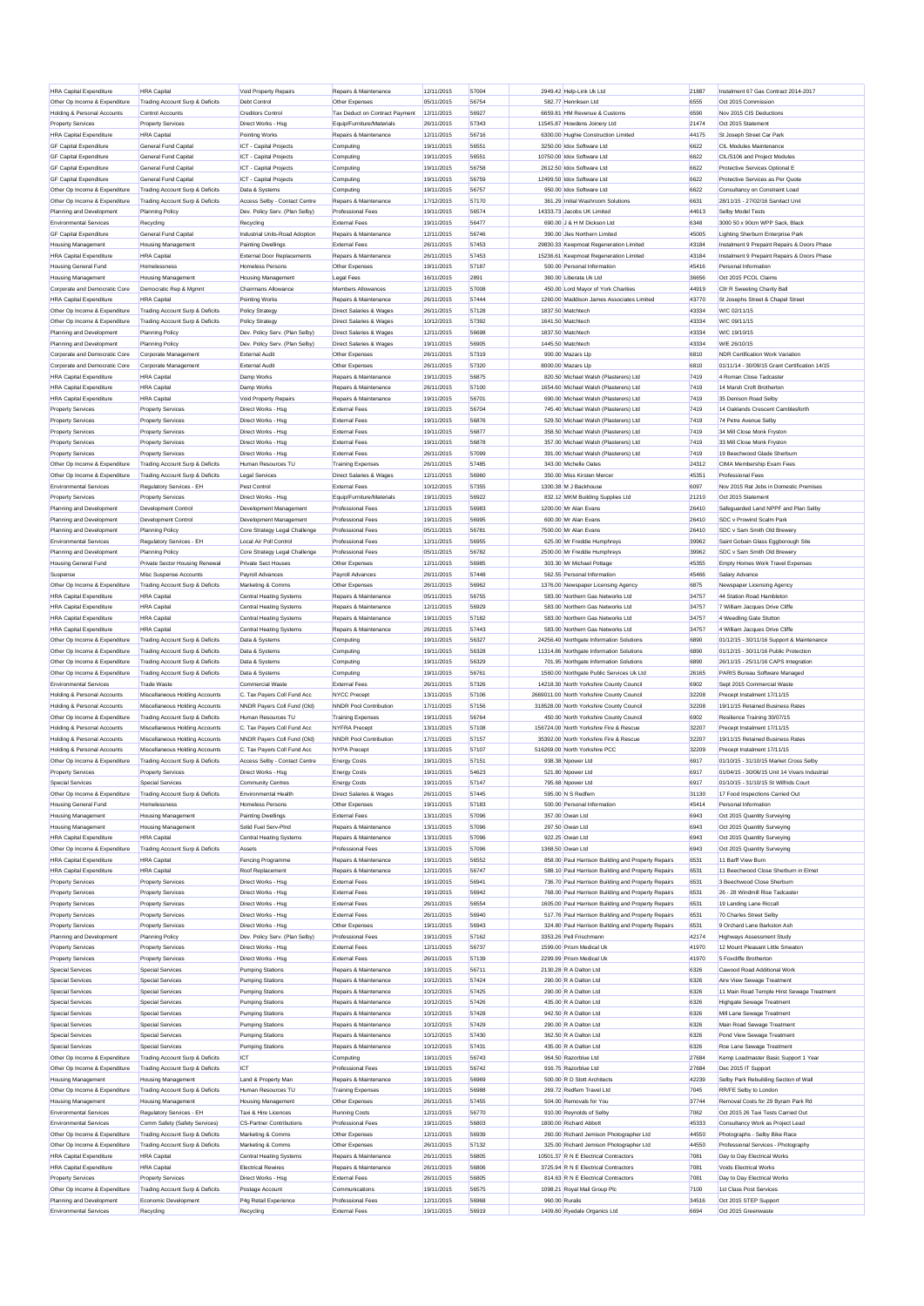| <b>HRA Capital Expenditure</b>                            | <b>HRA</b> Capital                         | Void Property Repairs              | <b>Renairs &amp; Maintenance</b>                 | 12/11/2015               | 57004          |                | 2949.42 Help-Link Uk Ltd                            | 21887         | Instalment 67 Gas Contract 2014-2017          |
|-----------------------------------------------------------|--------------------------------------------|------------------------------------|--------------------------------------------------|--------------------------|----------------|----------------|-----------------------------------------------------|---------------|-----------------------------------------------|
| Other Op Income & Expenditure                             | Trading Account Surp & Deficits            | Debt Control                       | Other Expenses                                   | 05/11/2015               | 56754          |                | 582.77 Henriksen Ltd                                | 6555          | Oct 2015 Commission                           |
| Holding & Personal Accounts                               | Control Accounts                           | <b>Creditors Control</b>           | Tax Deduct on Contract Payment                   | 12/11/2015               | 56927          |                | 6659.81 HM Revenue & Customs                        | 6590          | Nov 2015 CIS Deductions                       |
| <b>Property Services</b>                                  | <b>Property Services</b>                   | Direct Works - Hsg                 | Equip/Furniture/Materials                        | 26/11/2015               | 57343          |                | 11545 87 Howdens Joinery Ltd                        | 21474         | Oct 2015 Statement                            |
| <b>HRA Capital Expenditure</b>                            | <b>HRA</b> Capital                         | Pointing Works                     | Repairs & Maintenance                            | 12/11/2015               | 56716          |                | 6300.00 Hughie Construction Limited                 | 44175         | St Joseph Street Car Park                     |
|                                                           |                                            |                                    |                                                  |                          |                |                |                                                     |               |                                               |
| <b>GF Capital Expenditure</b>                             | General Fund Capital                       | ICT - Capital Projects             | Computing                                        | 19/11/2015               | 56551          |                | 3250.00 Idox Software Ltd                           | 6622          | <b>CIL Modules Maintenance</b>                |
| <b>GF Capital Expenditure</b>                             | General Fund Capital                       | ICT - Capital Projects             | Computing                                        | 19/11/2015               | 56551          |                | 10750.00 Idox Software Ltd                          | 6622          | CIL/S106 and Project Modules                  |
| <b>GF Capital Expenditure</b>                             | General Fund Capital                       | <b>ICT</b> - Capital Projects      | Computing                                        | 19/11/2015               | 56758          |                | 2612.50 Idox Software Ltd                           | 6622          | Protective Services Optional E                |
| <b>GF Capital Expenditure</b>                             | General Fund Capital                       | ICT - Capital Projects             | Computing                                        | 19/11/2015               | 56759          |                | 12499.50 Idox Software Ltd                          | 6622          | Protective Services as Per Quote              |
| Other Op Income & Expenditure                             | Trading Account Surp & Deficits            | Data & Systems                     | Computing                                        | 19/11/2015               | 56757          |                | 950.00 Idox Software Ltd                            | 6622          | Consultancy on Constraint Load                |
| Other Op Income & Expenditure                             | Trading Account Surp & Deficits            | Access Selby - Contact Centre      | Repairs & Maintenance                            | 17/12/2015               | 57170          |                | 361.29 Initial Washroom Solutions                   | 6631          | 28/11/15 - 27/02/16 Sanitact Unit             |
| Planning and Development                                  | <b>Planning Policy</b>                     | Dev. Policy Serv. (Plan Selby)     | <b>Professional Fees</b>                         | 19/11/2015               | 56574          |                | 14333.73 Jacobs UK Limited                          | 44613         | Selby Model Tests                             |
| <b>Environmental Services</b>                             | Recycling                                  | Recycling                          | <b>External Fees</b>                             | 19/11/2015               | 56477          |                | 690.00 J & H M Dickson Ltd                          | 6348          | 3000 50 x 90cm WPP Sack, Black                |
| <b>GF Capital Expenditure</b>                             | General Fund Capital                       | Industrial Units-Road Adoption     | Repairs & Maintenance                            | 12/11/2015               | 56746          |                | 390.00 Jles Northern Limited                        | 45005         | Lighting Sherburn Enterprise Park             |
| <b>Housing Management</b>                                 | <b>Housing Management</b>                  |                                    | <b>External Fees</b>                             | 26/11/2015               | 57453          |                | 29830.33 Keepmoat Regeneration Limited              | 43184         |                                               |
|                                                           |                                            | <b>Painting Dwellings</b>          |                                                  |                          |                |                |                                                     |               | Instalment 9 Prepaint Repairs & Doors Phase   |
| <b>HRA Capital Expenditure</b>                            | <b>HRA</b> Capital                         | <b>External Door Replacements</b>  | Repairs & Maintenance                            | 26/11/2015               | 57453          |                | 15236.61 Keepmoat Regeneration Limited              | 43184         | Instalment 9 Prepaint Repairs & Doors Phase   |
| <b>Housing General Fund</b>                               | Homelessness                               | <b>Homeless Persons</b>            | Other Expenses                                   | 19/11/2015               | 57187          |                | 500.00 Personal Information                         | 45416         | Personal Information                          |
| <b>Housing Management</b>                                 | <b>Housing Management</b>                  | <b>Housing Management</b>          | Legal Fees                                       | 16/11/2015               | 2891           |                | 360.00 Liberata Uk Ltd                              | 36656         | Oct 2015 PCOL Claims                          |
| Corporate and Democratic Core                             | Democratic Rep & Mgmnt                     | Chairmans Allowance                | Members Allowances                               | 12/11/2015               | 57008          |                | 450.00 Lord Mayor of York Charities                 | 44919         | Cllr R Sweeting Charity Ball                  |
| <b>HRA Capital Expenditure</b>                            | <b>HRA</b> Capital                         | Pointing Works                     | Repairs & Maintenance                            | 26/11/2015               | 57444          |                | 1260.00 Maddison James Associates Limited           | 43770         | St Josephs Street & Chapel Street             |
| Other Op Income & Expenditure                             | Trading Account Surp & Deficits            | <b>Policy Strategy</b>             | <b>Direct Salaries &amp; Wages</b>               | 26/11/2015               | 57128          |                | 1837.50 Matchtech                                   | 43334         | W/C 02/11/15                                  |
| Other Op Income & Expenditure                             | Trading Account Surp & Deficits            | Policy Strategy                    | Direct Salaries & Wages                          | 10/12/2015               | 57392          |                | 1641.50 Matchtech                                   | 43334         | W/C 09/11/15                                  |
| Planning and Development                                  | <b>Planning Policy</b>                     | Dev. Policy Serv. (Plan Selby)     | Direct Salaries & Wages                          | 12/11/2015               | 56698          |                | 1837.50 Matchtech                                   | 43334         | W/C 19/10/15                                  |
| Planning and Development                                  | <b>Planning Policy</b>                     | Dev. Policy Serv. (Plan Selby)     | Direct Salaries & Wages                          | 19/11/2015               | 56905          |                | 1445.50 Matchtech                                   | 43334         | W/E 26/10/15                                  |
|                                                           |                                            |                                    |                                                  |                          | 57319          |                |                                                     | 6810          | NDR Certification Work Variation              |
| Corporate and Democratic Core                             | Corporate Management                       | <b>External Audit</b>              | Other Expenses                                   | 26/11/2015               |                |                | 900.00 Mazars Lip                                   |               |                                               |
| Corporate and Democratic Core                             | Corporate Management                       | External Audit                     | Other Expenses                                   | 26/11/2015               | 57320          |                | 8000.00 Mazars Lip                                  | 6810          | 01/11/14 - 30/09/15 Grant Certification 14/15 |
| <b>HRA Capital Expenditure</b>                            | <b>HRA</b> Capital                         | Damp Works                         | Repairs & Maintenance                            | 19/11/2015               | 56875          |                | 820.50 Michael Walsh (Plasterers) Ltd               | 7419          | 4 Roman Close Tadcaster                       |
| <b>HRA Capital Expenditure</b>                            | <b>HRA</b> Capital                         | Damp Works                         | Repairs & Maintenance                            | 26/11/2015               | 57100          |                | 1654 60 Michael Walsh (Plasterers) Ltd              | 7419          | 14 Marsh Croft Brotherton                     |
| <b>HRA Capital Expenditure</b>                            | <b>HRA</b> Capital                         | Void Property Repairs              | Repairs & Maintenance                            | 19/11/2015               | 56701          |                | 690.00 Michael Walsh (Plasterers) Ltd               | 7419          | 35 Denison Road Selby                         |
| <b>Property Services</b>                                  | <b>Property Services</b>                   | Direct Works - Hsg                 | External Fees                                    | 19/11/2015               | 56704          |                | 745.40 Michael Walsh (Plasterers) Ltd               | 7419          | 14 Oaklands Crescent Camblesforth             |
| <b>Property Services</b>                                  | <b>Property Services</b>                   | Direct Works - Hsg                 | <b>External Fees</b>                             | 19/11/2015               | 56876          |                | 529.50 Michael Walsh (Plasterers) Ltd               | 7419          | 74 Petre Avenue Selby                         |
| <b>Property Services</b>                                  | <b>Property Services</b>                   | Direct Works - Hsg                 | <b>External Fees</b>                             | 19/11/2015               | 56877          |                | 358.50 Michael Walsh (Plasterers) Ltd               | 7419          | 34 Mill Close Monk Fryston                    |
| <b>Property Services</b>                                  | <b>Property Services</b>                   | Direct Works - Hsn                 | External Fees                                    | 19/11/2015               | 56878          |                | 357.00 Michael Walsh (Plasterers) Ltd               | 7419          | 33 Mill Close Monk Fryston                    |
| <b>Property Services</b>                                  | <b>Property Services</b>                   | Direct Works - Hsg                 | External Fees                                    | 26/11/2015               | 57099          |                | 391.00 Michael Walsh (Plasterers) Ltd               | 7419          | 19 Beechwood Glade Sherburn                   |
| Other Op Income & Expenditure                             | Trading Account Surp & Deficits            | Human Resources TU                 | Training Expenses                                | 26/11/2015               | 57485          |                | 343.00 Michelle Oates                               | 24312         | CIMA Membership Exam Fees                     |
| Other On Income & Expenditure                             |                                            |                                    | Direct Salaries & Wages                          |                          |                |                |                                                     |               |                                               |
|                                                           | Trading Account Surp & Deficits            | <b>Legal Services</b>              |                                                  | 12/11/2015               | 56960          |                | 350.00 Miss Kirsten Mercer                          | 45351         | <b>Professional Fees</b>                      |
| <b>Environmental Services</b>                             | Regulatory Services - EH                   | Pest Control                       | <b>External Fees</b>                             | 10/12/2015               | 57355          |                | 1300.38 M J Backhouse                               | 6097          | Nov 2015 Rat Jobs in Domestic Premises        |
| <b>Property Services</b>                                  | <b>Property Services</b>                   | Direct Works - Hsg                 | Equip/Furniture/Materials                        | 19/11/2015               | 56922          |                | 832.12 MKM Building Supplies Ltd                    | 21210         | Oct 2015 Statement                            |
| Planning and Development                                  | <b>Development Control</b>                 | Development Management             | <b>Professional Fees</b>                         | 12/11/2015               | 56983          |                | 1200.00 Mr Alan Evans                               | 26410         | Safeguarded Land NPPF and Plan Selby          |
| Planning and Development                                  | Development Control                        | Development Management             | <b>Professional Fees</b>                         | 19/11/2015               | 56995          |                | 600.00 Mr Alan Evans                                | 26410         | SDC v Prowind Scalm Park                      |
| Planning and Development                                  | <b>Planning Policy</b>                     | Core Strategy Legal Challenge      | <b>Professional Fees</b>                         | 05/11/2015               | 56781          |                | 7500.00 Mr Alan Evans                               | 26410         | SDC v Sam Smith Old Brewery                   |
| <b>Environmental Services</b>                             | Regulatory Services - EH                   | Local Air Poll Control             | <b>Professional Fees</b>                         | 12/11/2015               | 56955          |                | 625.00 Mr Freddie Humphreys                         | 39962         | Saint Gobain Glass Eggborough Site            |
| Planning and Development                                  | <b>Planning Policy</b>                     | Core Strategy Legal Challenge      | <b>Professional Fees</b>                         | 05/11/2015               | 56782          |                | 2500.00 Mr Freddie Humphreys                        | 39962         | SDC v Sam Smith Old Brewery                   |
| <b>Housing General Fund</b>                               | Private Sector Housing Renewal             | Private Sect Houses                | Other Expenses                                   | 12/11/2015               | 56985          |                | 303.30 Mr Michael Pottage                           | 45355         | <b>Empty Homes Work Travel Expenses</b>       |
| Suspense                                                  | Misc Suspense Accounts                     | Payroll Advances                   | Payroll Advances                                 | 26/11/2015               | 57448          |                | 562.55 Personal Information                         | 45466         | Salary Advance                                |
|                                                           |                                            |                                    |                                                  |                          | 56962          |                |                                                     |               |                                               |
| Other Op Income & Expenditure                             | Trading Account Surp & Deficits            | Marketing & Comms                  | Other Expenses                                   | 26/11/2015               |                |                | 1376.00 Newspaper Licensing Agency                  | 6875          | Newspaper Licensing Agency                    |
| <b>HRA Capital Expenditure</b>                            | <b>HRA</b> Capital                         | Central Heating Systems            | Repairs & Maintenance                            | 05/11/2015               | 56755          |                | 583.00 Northern Gas Networks Ltd                    | 34757         | 44 Station Road Hambleton                     |
| <b>HRA Capital Expenditure</b>                            | <b>HRA</b> Capital                         | <b>Central Heating Systems</b>     | Repairs & Maintenance                            | 12/11/2015               | 56929          |                | 583.00 Northern Gas Networks Ltd                    | 34757         | 7 William Jacques Drive Cliffe                |
| <b>HRA Capital Expenditure</b>                            | <b>HRA</b> Capital                         | <b>Central Heating Systems</b>     | Repairs & Maintenance                            | 19/11/2015               | 57182          |                | 583.00 Northern Gas Networks Ltd                    | 34757         | 4 Weedling Gate Stutton                       |
| <b>HRA Capital Expenditure</b>                            | <b>HRA</b> Capital                         | <b>Central Heating Systems</b>     | Repairs & Maintenance                            | 26/11/2015               | 57443          |                | 583.00 Northern Gas Networks Ltd                    | 34757         | 4 William Jacques Drive Cliffe                |
| Other Op Income & Expenditure                             | Trading Account Surp & Deficits            | Data & Systems                     | Computing                                        | 19/11/2015               | 56327          |                | 24256.40 Northgate Information Solutions            | 6890          | 01/12/15 - 30/11/16 Support & Maintenance     |
| Other Op Income & Expenditure                             | Trading Account Surp & Deficits            | Data & Systems                     | Computing                                        | 19/11/2015               | 56328          |                | 11314.86 Northgate Information Solutions            | 6890          | 01/12/15 - 30/11/16 Public Protection         |
| Other Op Income & Expenditure                             | Trading Account Surp & Deficits            | Data & Systems                     | Computing                                        | 19/11/2015               | 56329          |                | 701.95 Northgate Information Solutions              | 6890          | 26/11/15 - 25/11/16 CAPS Integration          |
| Other Op Income & Expenditure                             | Trading Account Surp & Deficits            | Data & Systems                     | Computing                                        | 19/11/2015               | 56761          |                | 1560.00 Northgate Public Services Uk Ltd            | 26165         | PARIS Bureau Software Managed                 |
| <b>Environmental Services</b>                             | Trade Waste                                | Commercial Waste                   | External Fees                                    | 26/11/2015               | 57326          |                | 14218.30 North Yorkshire County Council             | 6902          | Sept 2015 Commercial Waste                    |
|                                                           |                                            |                                    |                                                  |                          |                |                |                                                     |               |                                               |
| <b>Holding &amp; Personal Accounts</b>                    | Miscellaneous Holding Accounts             | C. Tax Payers Coll Fund Acc        | NYCC Precept                                     | 13/11/2015               | 57106          |                | 2669011.00 North Yorkshire County Council           | 32208         | Precept Instalment 17/11/15                   |
| Holding & Personal Accounts                               | Miscellaneous Holding Accounts             | NNDR Payers Coll Fund (Old)        | NNDR Pool Contribution                           | 17/11/2015               | 57156          |                | 318528.00 North Yorkshire County Council            | 32208         | 19/11/15 Retained Business Rates              |
| Other Op Income & Expenditure                             | Trading Account Surp & Deficits            | Human Resources TU                 | <b>Training Expenses</b>                         | 19/11/2015               | 56764          |                | 450.00 North Yorkshire County Council               | 6902          | Resilience Training 30/07/15                  |
| Holding & Personal Accounts                               | Miscellaneous Holding Accounts             | C. Tax Payers Coll Fund Acc        | <b>NYFRA Precept</b>                             | 13/11/2015               | 57108          |                | 156724.00 North Yorkshire Fire & Rescue             | 32207         | Precept Instalment 17/11/15                   |
| Holding & Personal Accounts                               | Miscellaneous Holding Accounts             | NNDR Payers Coll Fund (Old)        | <b>NNDR Pool Contribution</b>                    | 17/11/2015               | 57157          |                | 35392.00 North Yorkshire Fire & Rescue              | 32207         | 19/11/15 Retained Business Rates              |
| Holding & Personal Accounts                               | Miscellaneous Holding Accounts             | C. Tax Payers Coll Fund Acc        | NYPA Precept                                     | 13/11/2015               | 57107          |                | 516269.00 North Yorkshire PCC                       | 32209         | Precept Instalment 17/11/15                   |
| Other Op Income & Expenditure                             | Trading Account Surp & Deficits            | Access Selby - Contact Centre      | <b>Energy Costs</b>                              | 19/11/2015               | 57151          |                | 938.38 Noower Ltd                                   | 6917          | 01/10/15 - 31/10/15 Market Cross Selby        |
| <b>Property Services</b>                                  | <b>Property Services</b>                   | Direct Works - Hsg                 | <b>Energy Costs</b>                              | 19/11/2015               | 54623          |                | 521.80 Npower Ltd                                   | 6917          | 01/04/15 - 30/06/15 Unit 14 Vivars Industrial |
| <b>Special Services</b>                                   | Special Services                           | <b>Community Centres</b>           | <b>Energy Costs</b>                              | 19/11/2015               | 57147          |                | 795.68 Npower Ltd                                   | 6917          | 01/10/15 - 31/10/15 St Wilfrids Court         |
| Other On Income & Expenditure                             | Trading Account Surp & Deficits            | Environmental Health               | Direct Salaries & Wages                          | 26/11/2015               | 57445          |                | 595.00 N S Redfern                                  | 31130         | 17 Food Inspections Carried Out               |
| <b>Housing General Fund</b>                               | Homelessness                               | Homeless Persons                   | Other Expenses                                   | 19/11/2015               | 57183          |                | 500.00 Personal Information                         | 45414         | Personal Information                          |
|                                                           |                                            |                                    |                                                  |                          |                |                |                                                     |               |                                               |
| <b>Housing Management</b>                                 | <b>Housing Management</b>                  | <b>Painting Dwellings</b>          | <b>External Fees</b>                             | 13/11/2015               | 57096          |                | 357.00 Owan Ltd                                     | 6943          | Oct 2015 Quantity Surveying                   |
| <b>Housing Management</b>                                 | <b>Housing Management</b>                  | Solid Fuel Serv-Pind               | Repairs & Maintenance                            | 13/11/2015               | 57096          |                | 297.50 Owan Ltd                                     | 6943          |                                               |
| <b>HRA Capital Expenditure</b>                            | <b>HRA</b> Capital                         | <b>Central Heating Systems</b>     | Repairs & Maintenance                            | 13/11/2015               |                |                |                                                     |               | Oct 2015 Quantity Surveying                   |
| Other Op Income & Expenditure                             | Trading Account Surp & Deficits            | Assets                             | Professional Fees                                |                          | 57096          |                | 922.25 Owan Ltd                                     | 6943          | Oct 2015 Quantity Surveying                   |
| <b>HRA Capital Expenditure</b>                            | <b>HRA</b> Capital                         |                                    |                                                  | 13/11/2015               | 57096          |                | 1368.50 Owan Ltd                                    | 6943          | Oct 2015 Quantity Surveying                   |
| <b>HRA Capital Expenditure</b>                            |                                            | Fencing Programme                  | Repairs & Maintenance                            | 19/11/2015               | 56552          |                | 858.00 Paul Harrison Building and Property Repairs  | 6531          | 11 Barff View Burn                            |
|                                                           | <b>HRA</b> Capital                         | Roof Replacement                   | Repairs & Maintenance                            | 12/11/2015               | 56747          |                | 588.10 Paul Harrison Building and Property Repairs  | 6531          | 11 Beechwood Close Sherburn in Elmet          |
| <b>Property Services</b>                                  | <b>Property Services</b>                   | Direct Works - Hsg                 | <b>External Fees</b>                             | 19/11/2015               | 56941          |                | 736.70 Paul Harrison Building and Property Repairs  | 6531          | 3 Beechwood Close Sherburn                    |
| <b>Property Services</b>                                  | <b>Property Services</b>                   | Direct Works - Hsg                 | <b>External Fees</b>                             | 19/11/2015               | 56942          |                | 768.00 Paul Harrison Building and Property Repairs  | 6531          | 26 - 28 Windmill Rise Tadcaster               |
| <b>Property Services</b>                                  | <b>Property Services</b>                   | Direct Works - Hsg                 | <b>External Fees</b>                             | 26/11/2015               | 56554          |                | 1605.00 Paul Harrison Building and Property Repairs | 6531          | 19 Landing Lane Riccall                       |
|                                                           |                                            | Direct Works - Hsg                 | <b>External Fees</b>                             | 26/11/2015               | 56940          |                | 517.76 Paul Harrison Building and Property Repairs  | 6531          | 70 Charles Street Selby                       |
| <b>Property Services</b>                                  | <b>Property Services</b>                   |                                    |                                                  |                          | 56943          |                |                                                     |               |                                               |
| <b>Property Services</b>                                  | <b>Property Services</b>                   | Direct Works - Hsg                 | Other Expenses                                   | 19/11/2015               |                |                | 324.80 Paul Harrison Building and Property Repairs  | 6531          | 9 Orchard Lane Barkston Ash                   |
| Planning and Development                                  | <b>Planning Policy</b>                     | Dev. Policy Serv. (Plan Selby)     | <b>Professional Fees</b>                         | 19/11/2015               | 57162          |                | 3353.26 Pell Frischmann                             | 42174         | Highways Assessment Study                     |
| <b>Property Services</b>                                  | <b>Property Services</b>                   | Direct Works - Hsg                 | <b>External Fees</b>                             | 12/11/2015               | 56737          |                | 1599.00 Prism Medical Uk                            | 41970         | 12 Mount Pleasant Little Smeaton              |
| <b>Property Services</b>                                  | <b>Property Services</b>                   | Direct Works - Hsg                 | <b>External Fees</b>                             | 26/11/2015               | 57139          |                | 2299.99 Prism Medical Uk                            | 41970         | 5 Foxcliffe Brotherton                        |
| Special Services                                          | Special Services                           | <b>Pumping Stations</b>            | Repairs & Maintenance                            | 19/11/2015               | 56711          |                | 2130.28 R A Dalton Ltd                              | 6326          | Cawood Road Additional Work                   |
| <b>Special Services</b>                                   | <b>Special Services</b>                    | <b>Pumping Stations</b>            | Repairs & Maintenance                            | 10/12/2015               | 57424          |                | 290.00 R A Dalton Ltd                               | 6326          | Aire View Sewage Treatment                    |
| Special Services                                          | <b>Special Services</b>                    | <b>Pumping Stations</b>            | Repairs & Maintenance                            | 10/12/2015               | 57425          |                | 290.00 R A Dalton Ltd                               | 6326          | 11 Main Road Temple Hirst Sewage Treatment    |
| Special Services                                          | Special Services                           | <b>Pumping Stations</b>            | Repairs & Maintenance                            | 10/12/2015               | 57426          |                | 435.00 R A Dalton Ltd                               | 6326          | <b>Highgate Sewage Treatment</b>              |
| <b>Special Services</b>                                   | Special Services                           | <b>Pumping Stations</b>            | Repairs & Maintenance                            | 10/12/2015               | 57428          |                | 942.50 R A Dalton Ltd                               | 6326          | Mill Lane Sewage Treatment                    |
| <b>Special Services</b>                                   | <b>Special Services</b>                    |                                    | Repairs & Maintenance                            |                          | 57429          |                | 290.00 R A Dalton Ltd                               | 6326          | Main Road Sewage Treatment                    |
| Special Services                                          | Special Services                           | <b>Pumping Stations</b>            |                                                  | 10/12/2015               | 57430          |                | 362.50 R A Dalton Ltd                               | 6326          |                                               |
|                                                           |                                            | <b>Pumping Stations</b>            | Repairs & Maintenance                            | 10/12/2015               |                |                |                                                     |               | Pond View Sewage Treatment                    |
| <b>Special Services</b>                                   | Special Services                           | <b>Pumping Stations</b>            | Repairs & Maintenance                            | 10/12/2015               | 57431          |                | 435.00 R A Dalton Ltd                               | 6326          | Roe Lane Sewage Treatment                     |
| Other Op Income & Expenditure                             | Trading Account Surp & Deficits            | ICT                                | Computing                                        | 19/11/2015               | 56743          |                | 964.50 Razorblue Ltd                                | 27684         | Kemp Loadmaster Basic Support 1 Year          |
| Other Op Income & Expenditure                             | Trading Account Surp & Deficits            | ICT                                | <b>Professional Fees</b>                         | 19/11/2015               | 56742          |                | 916.75 Razorblue Ltd                                | 27684         | Dec 2015 IT Support                           |
| <b>Housing Management</b>                                 | <b>Housing Management</b>                  | Land & Property Man                | Repairs & Maintenance                            | 19/11/2015               | 56969          |                | 500.00 R D Stott Architects                         | 42239         | Selby Park Rebuilding Section of Wall         |
| Other Op Income & Expenditure                             | <b>Trading Account Surp &amp; Deficits</b> | Human Resources TU                 | <b>Training Expenses</b>                         | 19/11/2015               | 56988          |                | 269.72 Redfern Travel Ltd                           | 7045          | RR/FE Selby to London                         |
| <b>Housing Management</b>                                 | <b>Housing Management</b>                  | <b>Housing Management</b>          | Other Expenses                                   | 26/11/2015               | 57455          |                | 504.00 Removals for You                             | 37744         | Removal Costs for 29 Byram Park Rd            |
| <b>Environmental Services</b>                             | Regulatory Services - EH                   | Taxi & Hire Licences               | <b>Running Costs</b>                             | 12/11/2015               | 56770          |                | 910.00 Revnolds of Selby                            | 7062          | Oct 2015 26 Taxi Tests Carried Out            |
| <b>Environmental Services</b>                             | Comm Safety (Safety Services)              | <b>CS-Partner Contributions</b>    | <b>Professional Fees</b>                         | 19/11/2015               | 56803          |                | 1800.00 Richard Abbott                              | 45333         | Consultancy Work as Project Lead              |
| Other Op Income & Expenditure                             | Trading Account Surp & Deficits            | Marketing & Comms                  | Other Expenses                                   | 12/11/2015               | 56939          |                | 260.00 Richard Jemison Photographer Ltd             | 44550         | Photographs - Selby Bike Race                 |
| Other Op Income & Expenditure                             |                                            |                                    | Other Expenses                                   |                          | 57132          |                |                                                     | 44550         |                                               |
|                                                           | Trading Account Surp & Deficits            | Marketing & Comms                  |                                                  | 26/11/2015               |                |                | 325.00 Richard Jemison Photographer Ltd             |               | Professional Services - Photography           |
| <b>HRA Capital Expenditure</b>                            | <b>HRA</b> Capital                         | <b>Central Heating Systems</b>     | Repairs & Maintenance                            | 26/11/2015               | 56805          |                | 10501.37 R N E Electrical Contractors               | 7081          | Day to Day Electrical Works                   |
| <b>HRA Capital Expenditure</b>                            | <b>HRA</b> Capital                         | <b>Electrical Rewires</b>          | Repairs & Maintenance                            | 26/11/2015               | 56806          |                | 3725.94 R N E Electrical Contractors                | 7081          | Voids Electrical Works                        |
| <b>Property Services</b>                                  | <b>Property Services</b>                   | Direct Works - Hsg                 | <b>External Fees</b>                             | 26/11/2015               | 56805          |                | 814.63 R N E Electrical Contractors                 | 7081          | Day to Day Electrical Works                   |
| Other Op Income & Expenditure                             | Trading Account Surp & Deficits            | Postage Account                    | Communications                                   | 19/11/2015               | 56575          |                | 1098.21 Royal Mail Group Plc                        | 7100          | 1st Class Post Services                       |
| Planning and Development<br><b>Environmental Services</b> | Economic Development<br>Recycling          | P4g Retail Experience<br>Recycling | <b>Professional Fees</b><br><b>External Fees</b> | 12/11/2015<br>19/11/2015 | 56968<br>56919 | 960.00 Ruralis | 1409.80 Ryedale Organics Ltd                        | 34516<br>6694 | Oct 2015 STEP Support<br>Oct 2015 Greenwaste  |